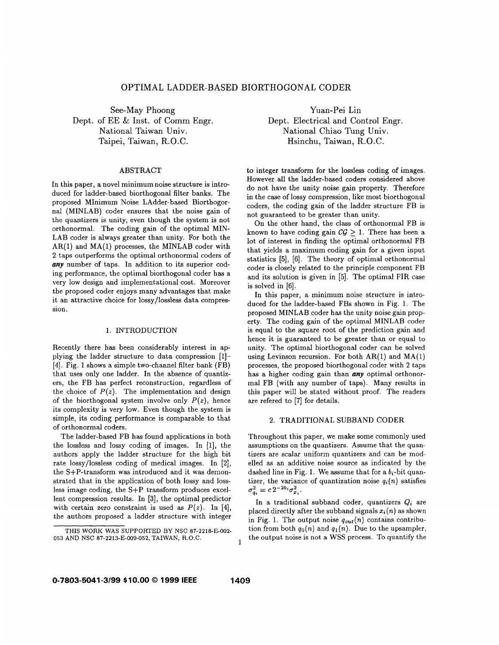# OPTIMAL LADDER-BASED BIORTHOGONAL CODER

See-May Phoong Dept. of EE & Inst. of Comm Engr. National Taiwan Univ. Taipei, Taiwan, R.O.C.

## ABSTRACT

In this paper, a novel minimum noise structure is introduced for ladder-based biorthogonal filter banks. The proposed MInimum Noise LAdder-based Biorthogornal (MINLAB) coder ensures that the noise gain of the quantizers is unity, even though the system is not orthonormal. The coding gain of the optimal MIN-LAB coder is always greater than unity. For both the  $AR(1)$  and  $MA(1)$  processes, the MINLAB coder with **2** taps outperforms the optimal orthonormal coders of any number of taps. In addition to its superior coding performance, the optimal biorthogonal coder has a very low design and implementational cost. Moreover the proposed coder enjoys many advantages that make it an attractive choice for lossy/lossless data compression.

#### 1. INTRODUCTION

Recently there has been considerably interest in applying the ladder structure to data compression [1]- **[4].** Fig. **1** shows a simple two-channel filter bank (FB) that uses only one ladder. In the absence of quantizers, the FB has perfect reconstruction, regardless of the choice of  $P(z)$ . The implementation and design of the biorthogonal system involve only  $P(z)$ , hence its complexity is very low. Even though the system is simple, its coding performance is comparable to that of orthonormal coders.

The ladder-based FB has found applications in both the lossless and lossy coding of images. In **[l],** the authors apply the ladder structure for the high bit rate lossy/lossless coding of medical images. In **[a],**  the S+P-transform was introduced and it was demonstrated that in the application of both lossy and lossless image coding, the S+P transform produces excellent compression results. In **[3],** the optimal predictor with certain zero constraint is used as  $P(z)$ . In [4], the authors proposed a ladder structure with integer

Yuan-Pei Lin Dept. Electrical and Control Engr. National Chiao Tung Univ. Hsinchu, Taiwan, R.O.C.

to integer transform for the lossless coding of images. However all the ladder-based coders considered above do not have the unity noise gain property. Therefore in the case of lossy compression, like most biorthogonal coders, the coding gain of the ladder structure FB is not guaranteed to be greater than unity.

On the other hand, the class of orthonormal FB is known to have coding gain  $\mathcal{CG} > 1$ . There has been a lot of interest in finding the optimal orthonormal FB that yields a maximum coding gain for a given input statistics [5], [6]. The theory of optimal orthonormal coder is closely related to the principle component FB and its solution is given in [5]. The optimal FIR case is solved in [6].

In this paper, a minimum noise structure is introduced for the ladder-based FBs shown in Fig. 1. The proposed MINLAB coder has the unity noise gain property. The coding gain of the optimal MINLAB coder is equal to the square root of the prediction gain and hence it is guaranteed to be greater than or equal to unity. The optimal biorthogonal coder can be solved using Levinson recursion. For both  $AR(1)$  and  $MA(1)$ processes, the proposed biorthogonal coder with **2** taps has a higher coding gain than *any* optimal orthonormal FB (with any number of taps). Many results in this paper will be stated without proof. The readers are refered to **[7]** for details.

#### **2.** TRADITIONAL SUBBAND CODER

Throughout this paper, we make some commonly used assumptions on the quantizers. Assume that the quantizers are scalar uniform quantizers and can be modelled as an additive noise source as indicated by the dashed line in Fig. 1. We assume that for a  $b_i$ -bit quantizer, the variance of quantization noise  $q_i(n)$  satisfies  $\sigma_{q_i}^2 = c \, 2^{-2b_i} \sigma_{x_i}^2$ .

In a traditional subband coder, quantizers *Qi* are placed directly after the subband signals  $x_i(n)$  as shown in Fig. 1. The output noise  $q_{out}(n)$  contains contribution from both  $q_0(n)$  and  $q_1(n)$ . Due to the upsampler, the output noise is not a WSS process. To quantify the

1

THIS WORK WAS **SUPPORTED** BY NSC **87-2218-E-002- 053 AND NSC 87-2213-E-009-052,** TAIWAN, R.O.C.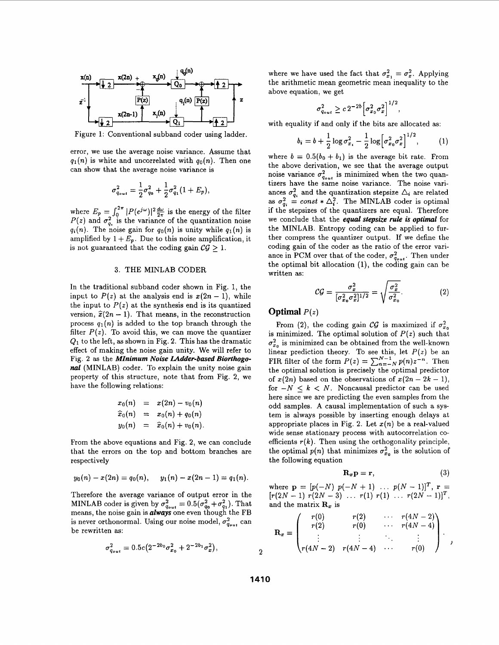

Figure 1: Conventional subband coder using ladder.

error, we use the average noise variance. Assume that  $q_1(n)$  is white and uncorrelated with  $q_0(n)$ . Then one can show that the average noise variance is

$$
\sigma_{q_{out}}^2 = \frac{1}{2}\sigma_{q_0}^2 + \frac{1}{2}\sigma_{q_1}^2(1+E_p),
$$

where  $E_p = \int_0^{2\pi} |P(e^{j\omega})|^2 \frac{d\omega}{2\pi}$  is the energy of the filter  $P(z)$  and  $\sigma_{a}^{2}$  is the variance of the quantization noise  $q_i(n)$ . The noise gain for  $q_0(n)$  is unity while  $q_1(n)$  is amplified by  $1 + E_p$ . Due to this noise amplification, it is not guaranteed that the coding gain  $CG > 1$ .

## **3.** THE MINLAB CODER

In the traditional subband coder shown in Fig. 1, the input to  $P(z)$  at the analysis end is  $x(2n - 1)$ , while the input to  $P(z)$  at the synthesis end is its quantized version,  $\hat{x}(2n - 1)$ . That means, in the reconstruction process  $q_1(n)$  is added to the top branch through the filter  $P(z)$ . To avoid this, we can move the quantizer **&I** to the left, **as** shown in Fig. **2.** This has the dramatic effect of making the noise gain unity. We will refer to Fig. *2* **as** the *MInimum Noise Udder-based Biorthogo*nal (MINLAB) coder. To explain the unity noise gain property of this structure, note that from Fig. **2,** we have the following relations:

$$
x_0(n) = x(2n) - v_0(n)
$$
  
\n
$$
\hat{x}_0(n) = x_0(n) + q_0(n)
$$
  
\n
$$
y_0(n) = \hat{x}_0(n) + v_0(n).
$$

From the above equations and Fig. **2,** we can conclude that the errors on the top and bottom branches are respectively

$$
y_0(n) - x(2n) = q_0(n),
$$
  $y_1(n) - x(2n-1) = q_1(n).$ 

Therefore the average variance of output error in the MINLAB coder is given by  $\sigma_{q_{out}}^2 = 0.5(\sigma_{q_0}^2 + \sigma_{q_1}^2)$ . That means, the noise gain is *always* one even though the FB is never orthonormal. Using our noise model,  $\sigma_{q_{out}}^2$  can be rewritten **as:** 

$$
\sigma_{q_{out}}^2 = 0.5c(2^{-2b_0}\sigma_{x_0}^2 + 2^{-2b_1}\sigma_x^2),
$$

where we have used the fact that  $\sigma_{x_1}^2 = \sigma_x^2$ . Applying the arithmetic mean geometric mean inequality to the above equation, we get

$$
\sigma_{q_{\text{out}}}^2 \geq c \, 2^{-2b} \Big[ \sigma_{x_0}^2 \sigma_x^2 \Big]^{1/2},
$$

with equality if and only if the bits are allocated **as:** 

$$
b_i = b + \frac{1}{2} \log \sigma_{x_i}^2 - \frac{1}{2} \log \left[ \sigma_{x_0}^2 \sigma_x^2 \right]^{1/2}, \quad (1)
$$

where  $b = 0.5(b_0 + b_1)$  is the average bit rate. From the above derivation, we see that the average output noise variance  $\sigma_{q_{out}}^2$  is minimized when the two quantizers have the same noise variance. The noise variances  $\sigma_a^2$  and the quantization stepsize  $\Delta_i$  are related as  $\sigma_{q_i}^2 = const * \Delta_i^2$ . The MINLAB coder is optimal if the stepsizes of the quantizers are equal. Therefore we conclude that the *equal slepsize rule is optimal* for the MINLAB. Entropy coding can be applied to further compress the quantizer output. If we define the coding gain of the coder **as** the ratio of the error variance in PCM over that of the coder,  $\sigma_{q_{out}}^2$ . Then under the optimal bit allocation **(l),** the coding gain can be written **as:** 

$$
\mathcal{CG} = \frac{\sigma_x^2}{[\sigma_{x_0}^2 \sigma_x^2]^{1/2}} = \sqrt{\frac{\sigma_x^2}{\sigma_{x_0}^2}}.\tag{2}
$$

## **Optimal**  $P(z)$

From (2), the coding gain  $\mathcal{CG}$  is maximized if  $\sigma_{x_0}^2$ is minimized. The optimal solution of  $P(z)$  such that  $\sigma_{x_0}^2$  is minimized can be obtained from the well-known linear prediction theory. To see this, let  $P(z)$  be an FIR filter of the form  $P(z) = \sum_{n=-N}^{N-1} p(n)z^{-n}$ . Then the optimal solution is precisely the optimal predictor of  $x(2n)$  based on the observations of  $x(2n - 2k - 1)$ , for  $-N \leq k \leq N$ . Noncausal predictor can be used here since we are predicting the even samples from the odd samples. A causal implementation of such **a** system is always possible by inserting enough delays at appropriate places in Fig. 2. Let  $x(n)$  be a real-valued wide sense stationary process with autocorrelation coefficients  $r(k)$ . Then using the orthogonality principle, the optimal  $p(n)$  that minimizes  $\sigma_{x_0}^2$  is the solution of the following equation

$$
\mathbf{R}_x \mathbf{p} = \mathbf{r},\tag{3}
$$

where  $\mathbf{p} = [p(-N) \ p(-N + 1) \ \dots \ p(N-1)]^T$ ,  $\mathbf{r} = [r(2N-1) \ r(2N-3) \ \dots \ r(1) \ r(1) \ \dots \ r(2N-1)]^T$ , and the matrix  $\mathbf{R}_x$  is

$$
\mathbf{R}_{x} = \begin{pmatrix} r(0) & r(2) & \cdots & r(4N-2) \\ r(2) & r(0) & \cdots & r(4N-4) \\ \vdots & \vdots & \ddots & \vdots \\ r(4N-2) & r(4N-4) & \cdots & r(0) \end{pmatrix} ,
$$

**2**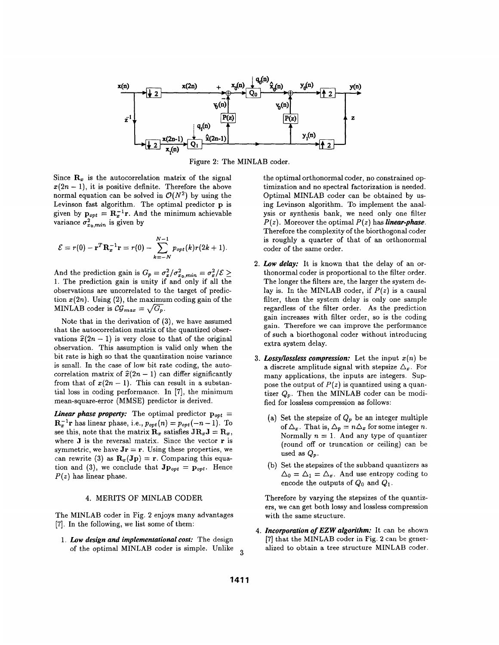

Figure **2:** The MINLAB coder.

Since  $\mathbf{R}_x$  is the autocorrelation matrix of the signal  $x(2n - 1)$ , it is positive definite. Therefore the above normal equation can be solved in  $\mathcal{O}(N^2)$  by using the Levinson fast algorithm. The optimal predictor **p** is given by  $\mathbf{p}_{opt} = \mathbf{R}_{x}^{-1}\mathbf{r}$ . And the minimum achievable variance  $\sigma_{x_0,min}^2$  is given by

$$
\mathcal{E} = r(0) - \mathbf{r}^T \mathbf{R}_{x}^{-1} \mathbf{r} = r(0) - \sum_{k=-N}^{N-1} p_{opt}(k) r(2k+1).
$$

And the prediction gain is  $G_p = \sigma_x^2/\sigma_{x_0,min}^2 = \sigma_x^2/\mathcal{E} \geq$ 1. The prediction gain is unity if and only if all the observations are uncorrelated to the target of prediction  $x(2n)$ . Using  $(2)$ , the maximum coding gain of the MINLAB coder is  $\mathcal{CG}_{max} = \sqrt{G_p}$ .

Note that in the derivation of **(3),** we have assumed that the autocorrelation matrix of the quantized observations  $\hat{x}(2n - 1)$  is very close to that of the original observation. This assumption is valid only when the bit rate is high so that the quantization noise variance is small. In the case of low bit rate coding, the autocorrelation matrix of  $\hat{x}(2n - 1)$  can differ significantly from that of  $x(2n - 1)$ . This can result in a substantial loss in coding performance. In **[7],** the minimum mean-square-error (MMSE) predictor is derived.

*Linear phase property:* The optimal predictor  $\mathbf{p}_{opt}$  =  $\mathbf{R}_x^{-1}$ **r** has linear phase, i.e.,  $p_{opt}(n) = p_{opt}(-n-1)$ . To see this, note that the matrix  $\mathbf{R}_x$  satisfies  $\mathbf{J} \mathbf{R}_x \mathbf{J} = \mathbf{R}_x$ , where **J** is the reversal matrix. Since the vector **r** is symmetric, we have  $Jr = r$ . Using these properties, we can rewrite (3) as  $\mathbf{R}_x(\mathbf{Jp}) = \mathbf{r}$ . Comparing this equation and (3), we conclude that  $J_{\text{P}opt} = p_{opt}$ . Hence  $P(z)$  has linear phase.

### **4.** MERITS OF MINLAB CODER

The MINLAB coder in Fig. *2* enjoys many advantages **[7].** In the following, we list some of them:

1. *Low design and implementational cost:* The design of the optimal MINLAB coder is simple. Unlike **3**  the optimal orthonormal coder, no constrained optimization and no spectral factorization is needed. Optimal MINLAB coder can be obtained by using Levinson algorithm. To implement the analysis or synthesis bank, we need only one filter  $P(z)$ . Moreover the optimal  $P(z)$  has *linear-phase*. Therefore the complexity of the biorthogonal coder is roughly a quarter of that of an orthonormal coder of the same order.

- **2.**  *Low delay:* It is known that the delay of an orthonormal coder is proportional to the filter order. The longer the filters are, the larger the system delay is. In the MINLAB coder, if  $P(z)$  is a causal filter, then the system delay is only one sample regardless of the filter order. **As** the prediction gain increases with filter order, so is the coding gain. Therefore we can improve the performance of such a biorthogonal coder without introducing extra system delay.
- **3.**  *Lossy/lossless compression:* Let the input *x(n)* be a discrete amplitude signal with stepsize  $\Delta_x$ . For many applications, the inputs are integers. Suppose the output of  $P(z)$  is quantized using a quantizer  $Q_p$ . Then the MINLAB coder can be modified for lossless compression **as** follows:
	- (a) Set the stepsize of *Qp* be an integer multiple of  $\Delta_x$ . That is,  $\Delta_p = n \Delta_x$  for some integer *n*. Normally  $n = 1$ . And any type of quantizer (round off or truncation or ceiling) can be used as  $Q_p$ .
	- (b) Set the stepsizes of the subband quantizers as  $\Delta_0 = \Delta_1 = \Delta_x$ . And use entropy coding to encode the outputs of  $Q_0$  and  $Q_1$ .

Therefore by varying the stepsizes of the quantizers, we can get both lossy and lossless compression with the same structure.

**4.**  *Incorporation of EZW algorithm:* It can be shown **[7]** that the MINLAB coder in Fig. **2** can be generalized to obtain a tree structure MINLAB coder.